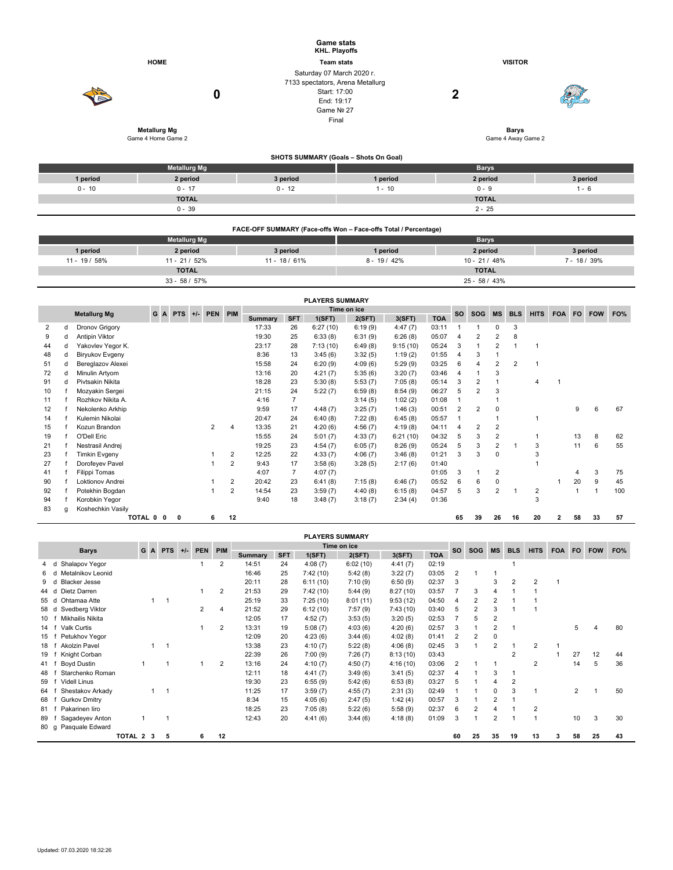|               |                                           |                                                                                                           | <b>Game stats</b><br>KHL. Playoffs    |                                    |                |  |  |  |  |  |
|---------------|-------------------------------------------|-----------------------------------------------------------------------------------------------------------|---------------------------------------|------------------------------------|----------------|--|--|--|--|--|
|               | <b>HOME</b>                               |                                                                                                           | <b>Team stats</b>                     | <b>VISITOR</b>                     |                |  |  |  |  |  |
|               | 0                                         | Saturday 07 March 2020 r.<br>7133 spectators, Arena Metallurg<br>Start: 17:00<br>End: 19:17<br>Game Nº 27 |                                       | $\mathbf 2$                        |                |  |  |  |  |  |
|               |                                           | Final                                                                                                     |                                       |                                    |                |  |  |  |  |  |
|               | <b>Metallurg Mg</b><br>Game 4 Home Game 2 |                                                                                                           |                                       | <b>Barys</b><br>Game 4 Away Game 2 |                |  |  |  |  |  |
|               |                                           |                                                                                                           | SHOTS SUMMARY (Goals - Shots On Goal) |                                    |                |  |  |  |  |  |
|               | <b>Metallurg Mg</b>                       |                                                                                                           |                                       | <b>Barys</b>                       |                |  |  |  |  |  |
| 1 period      | 2 period                                  | 3 period                                                                                                  | 1 period                              | 2 period                           | 3 period       |  |  |  |  |  |
| $0 - 10$      | $0 - 17$                                  | $0 - 12$                                                                                                  | $1 - 10$                              | $0 - 9$                            | $1 - 6$        |  |  |  |  |  |
|               | <b>TOTAL</b>                              |                                                                                                           |                                       | <b>TOTAL</b>                       |                |  |  |  |  |  |
|               | $0 - 39$                                  |                                                                                                           |                                       | $2 - 25$                           |                |  |  |  |  |  |
|               |                                           | FACE-OFF SUMMARY (Face-offs Won - Face-offs Total / Percentage)                                           |                                       |                                    |                |  |  |  |  |  |
|               | <b>Metallurg Mg</b>                       |                                                                                                           |                                       | <b>Barys</b>                       |                |  |  |  |  |  |
| 1 period      | 2 period                                  | 3 period                                                                                                  | 1 period                              | 2 period                           | 3 period       |  |  |  |  |  |
| 11 - 19 / 58% | $11 - 21 / 52%$                           | $11 - 18 / 61%$                                                                                           | $8 - 19 / 42%$                        | $10 - 21 / 48%$                    | $7 - 18 / 39%$ |  |  |  |  |  |
|               | <b>TOTAL</b>                              |                                                                                                           |                                       | <b>TOTAL</b>                       |                |  |  |  |  |  |
|               | $33 - 58 / 57\%$                          |                                                                                                           |                                       | 25 - 58 / 43%                      |                |  |  |  |  |  |

|                                                                            |   |                      |  |   |  |             |                |                |                | <b>PLAYERS SUMMARY</b> |         |           |            |                |            |                |            |           |             |     |            |     |
|----------------------------------------------------------------------------|---|----------------------|--|---|--|-------------|----------------|----------------|----------------|------------------------|---------|-----------|------------|----------------|------------|----------------|------------|-----------|-------------|-----|------------|-----|
| G<br>PEN PIM<br><b>Metallurg Mg</b><br><b>PTS</b><br>$\mathbf{A}$<br>$+/-$ |   |                      |  |   |  | Time on ice |                |                |                |                        |         | <b>SO</b> | <b>SOG</b> | <b>MS</b>      | <b>BLS</b> | <b>HITS</b>    | <b>FOA</b> | <b>FO</b> |             | FO% |            |     |
|                                                                            |   |                      |  |   |  |             |                | <b>Summary</b> | <b>SFT</b>     | 1(SFT)                 | 2(SFT)  | 3(SFT)    | <b>TOA</b> |                |            |                |            |           |             |     | <b>FOW</b> |     |
| 2                                                                          | d | Dronov Grigory       |  |   |  |             |                | 17:33          | 26             | 6:27(10)               | 6:19(9) | 4:47(7)   | 03:11      |                |            |                | 3          |           |             |     |            |     |
| 9                                                                          | d | Antipin Viktor       |  |   |  |             |                | 19:30          | 25             | 6:33(8)                | 6:31(9) | 6:26(8)   | 05:07      | 4              | 2          | 2              | 8          |           |             |     |            |     |
| 44                                                                         | d | Yakovlev Yegor K.    |  |   |  |             |                | 23:17          | 28             | 7:13(10)               | 6:49(8) | 9:15(10)  | 05:24      | 3              |            | 2              |            |           |             |     |            |     |
| 48                                                                         | d | Biryukov Evgeny      |  |   |  |             |                | 8:36           | 13             | 3:45(6)                | 3:32(5) | 1:19(2)   | 01:55      | 4              | 3          |                |            |           |             |     |            |     |
| 51                                                                         | d | Bereglazov Alexei    |  |   |  |             |                | 15:58          | 24             | 6:20(9)                | 4:09(6) | 5:29(9)   | 03:25      | 6              | 4          | $\overline{2}$ | 2          |           |             |     |            |     |
| 72                                                                         | d | Minulin Artyom       |  |   |  |             |                | 13:16          | 20             | 4:21(7)                | 5:35(6) | 3:20(7)   | 03:46      | 4              |            | 3              |            |           |             |     |            |     |
| 91                                                                         | d | Pivtsakin Nikita     |  |   |  |             |                | 18:28          | 23             | 5:30(8)                | 5:53(7) | 7:05(8)   | 05:14      | 3              | 2          |                |            | 4         | $\mathbf 1$ |     |            |     |
| 10                                                                         |   | Mozyakin Sergei      |  |   |  |             |                | 21:15          | 24             | 5:22(7)                | 6:59(8) | 8:54(9)   | 06:27      | 5              | 2          | 3              |            |           |             |     |            |     |
| 11                                                                         |   | Rozhkov Nikita A.    |  |   |  |             |                | 4:16           | $\overline{7}$ |                        | 3:14(5) | 1:02(2)   | 01:08      |                |            |                |            |           |             |     |            |     |
| 12                                                                         |   | Nekolenko Arkhip     |  |   |  |             |                | 9:59           | 17             | 4:48(7)                | 3:25(7) | 1:46(3)   | 00:51      | $\overline{2}$ | 2          | 0              |            |           |             | 9   | 6          | 67  |
| 14                                                                         |   | Kulemin Nikolai      |  |   |  |             |                | 20:47          | 24             | 6:40(8)                | 7:22(8) | 6:45(8)   | 05:57      |                |            |                |            |           |             |     |            |     |
| 15                                                                         |   | Kozun Brandon        |  |   |  | 2           | 4              | 13:35          | 21             | 4:20(6)                | 4:56(7) | 4:19(8)   | 04:11      | 4              | 2          | 2              |            |           |             |     |            |     |
| 19                                                                         |   | O'Dell Eric          |  |   |  |             |                | 15:55          | 24             | 5:01(7)                | 4:33(7) | 6:21(10)  | 04:32      | 5              | 3          | 2              |            |           |             | 13  | 8          | 62  |
| 21                                                                         |   | Nestrasil Andrej     |  |   |  |             |                | 19:25          | 23             | 4:54(7)                | 6:05(7) | 8:26(9)   | 05:24      | 5              | 3          | 2              |            | 3         |             | 11  | 6          | 55  |
| 23                                                                         |   | <b>Timkin Evgeny</b> |  |   |  |             | 2              | 12:25          | 22             | 4:33(7)                | 4:06(7) | 3:46(8)   | 01:21      | 3              | 3          | $\Omega$       |            | 3         |             |     |            |     |
| 27                                                                         |   | Dorofeyev Pavel      |  |   |  |             | $\overline{2}$ | 9:43           | 17             | 3:58(6)                | 3:28(5) | 2:17(6)   | 01:40      |                |            |                |            |           |             |     |            |     |
| 41                                                                         |   | <b>Filippi Tomas</b> |  |   |  |             |                | 4:07           | $\overline{7}$ | 4:07(7)                |         |           | 01:05      | 3              |            | 2              |            |           |             | 4   | 3          | 75  |
| 90                                                                         |   | Loktionov Andrei     |  |   |  |             | 2              | 20:42          | 23             | 6:41(8)                | 7:15(8) | 6:46(7)   | 05:52      | 6              | 6          | $\Omega$       |            |           |             | 20  | 9          | 45  |
| 92                                                                         |   | Potekhin Bogdan      |  |   |  |             | 2              | 14:54          | 23             | 3:59(7)                | 4:40(8) | 6:15(8)   | 04:57      | 5              | 3          | 2              |            | 2         |             |     |            | 100 |
| 94                                                                         |   | Korobkin Yegor       |  |   |  |             |                | 9:40           | 18             | 3:48(7)                | 3:18(7) | 2:34(4)   | 01:36      |                |            |                |            | 3         |             |     |            |     |
| 83                                                                         | a | Koshechkin Vasily    |  |   |  |             |                |                |                |                        |         |           |            |                |            |                |            |           |             |     |            |     |
|                                                                            |   | TOTAL 0 0            |  | 0 |  | 6           | 12             |                |                |                        |         |           |            | 65             | 39         | 26             | 16         | 20        | 2           | 58  | 33         | 57  |

|      |                           |           |     |                |       |         |                |                |            | <b>PLAYERS SUMMARY</b> |             |          |            |                |                |             |                |                |            |                |            |     |
|------|---------------------------|-----------|-----|----------------|-------|---------|----------------|----------------|------------|------------------------|-------------|----------|------------|----------------|----------------|-------------|----------------|----------------|------------|----------------|------------|-----|
|      | <b>Barys</b>              |           | G A | <b>PTS</b>     | $+/-$ | PEN PIM |                |                |            |                        | Time on ice |          |            | <b>SO</b>      | SOG            | <b>MS</b>   | <b>BLS</b>     | <b>HITS</b>    | <b>FOA</b> | FO.            | <b>FOW</b> | FO% |
|      |                           |           |     |                |       |         |                | <b>Summary</b> | <b>SFT</b> | 1(SFT)                 | 2(SFT)      | 3(SFT)   | <b>TOA</b> |                |                |             |                |                |            |                |            |     |
| 4 d  | Shalapov Yegor            |           |     |                |       |         |                | 14:51          | 24         | 4:08(7)                | 6:02(10)    | 4:41(7)  | 02:19      |                |                |             |                |                |            |                |            |     |
| 6.   | Metalnikov Leonid<br>d    |           |     |                |       |         |                | 16:46          | 25         | 7:42(10)               | 5:42(8)     | 3:22(7)  | 03:05      | $\overline{2}$ |                |             |                |                |            |                |            |     |
|      | <b>Blacker Jesse</b><br>d |           |     |                |       |         |                | 20:11          | 28         | 6:11(10)               | 7:10(9)     | 6:50(9)  | 02:37      | 3              |                | 3           | $\overline{2}$ |                |            |                |            |     |
| 44 d | Dietz Darren              |           |     |                |       |         | $\overline{2}$ | 21:53          | 29         | 7:42(10)               | 5:44(9)     | 8:27(10) | 03:57      | 7              | 3              |             |                |                |            |                |            |     |
| 55 d | Ohtamaa Atte              |           |     | $\overline{1}$ |       |         |                | 25:19          | 33         | 7:25(10)               | 8:01(11)    | 9:53(12) | 04:50      | 4              | 2              |             |                |                |            |                |            |     |
| 58 d | Svedberg Viktor           |           |     |                |       | 2       | 4              | 21:52          | 29         | 6:12(10)               | 7:57(9)     | 7:43(10) | 03:40      | 5              | 2              | 3           |                |                |            |                |            |     |
| 10   | Mikhailis Nikita          |           |     |                |       |         |                | 12:05          | 17         | 4:52(7)                | 3:53(5)     | 3:20(5)  | 02:53      |                | 5              | 2           |                |                |            |                |            |     |
| 14   | Valk Curtis               |           |     |                |       |         | 2              | 13:31          | 19         | 5:08(7)                | 4:03(6)     | 4:20(6)  | 02:57      | 3              |                |             |                |                |            | 5              |            | 80  |
| 15   | Petukhov Yegor            |           |     |                |       |         |                | 12:09          | 20         | 4:23(6)                | 3:44(6)     | 4:02(8)  | 01:41      | $\overline{2}$ | $\overline{2}$ | $\mathbf 0$ |                |                |            |                |            |     |
| 18   | Akolzin Pavel             |           |     | $\overline{1}$ |       |         |                | 13:38          | 23         | 4:10(7)                | 5:22(8)     | 4:06(8)  | 02:45      | 3              |                | 2           |                | 2              |            |                |            |     |
| 19   | Knight Corban             |           |     |                |       |         |                | 22:39          | 26         | 7:00(9)                | 7:26(7)     | 8:13(10) | 03:43      |                |                |             | 2              |                |            | 27             | 12         | 44  |
| 41   | <b>Boyd Dustin</b>        |           |     |                |       |         | 2              | 13:16          | 24         | 4:10(7)                | 4:50(7)     | 4:16(10) | 03:06      | $\overline{2}$ |                |             |                | 2              |            | 14             | 5          | 36  |
| 48   | Starchenko Roman          |           |     |                |       |         |                | 12:11          | 18         | 4:41(7)                | 3:49(6)     | 3:41(5)  | 02:37      | 4              |                | 3           |                |                |            |                |            |     |
| 59   | <b>Videll Linus</b>       |           |     |                |       |         |                | 19:30          | 23         | 6:55(9)                | 5:42(6)     | 6:53(8)  | 03:27      | 5              |                | 4           | $\overline{2}$ |                |            |                |            |     |
| 64   | Shestakov Arkady          |           |     | $\mathbf{1}$   |       |         |                | 11:25          | 17         | 3:59(7)                | 4:55(7)     | 2:31(3)  | 02:49      |                |                | 0           | 3              |                |            | $\overline{2}$ |            | 50  |
| 68   | <b>Gurkov Dmitry</b>      |           |     |                |       |         |                | 8:34           | 15         | 4:05(6)                | 2:47(5)     | 1:42(4)  | 00:57      | 3              |                |             |                |                |            |                |            |     |
| 81   | Pakarinen liro            |           |     |                |       |         |                | 18:25          | 23         | 7:05(8)                | 5:22(6)     | 5:58(9)  | 02:37      | 6              | $\overline{2}$ |             |                | $\overline{2}$ |            |                |            |     |
| 89   | Sagadeyev Anton           |           |     |                |       |         |                | 12:43          | 20         | 4:41(6)                | 3:44(6)     | 4:18(8)  | 01:09      | 3              |                | 2           |                |                |            | 10             | 3          | 30  |
| 80 g | Pasquale Edward           |           |     |                |       |         |                |                |            |                        |             |          |            |                |                |             |                |                |            |                |            |     |
|      |                           | TOTAL 2 3 |     | 5              |       | 6       | 12             |                |            |                        |             |          |            | 60             | 25             | 35          | 19             | 13             | 3          | 58             | 25         | 43  |